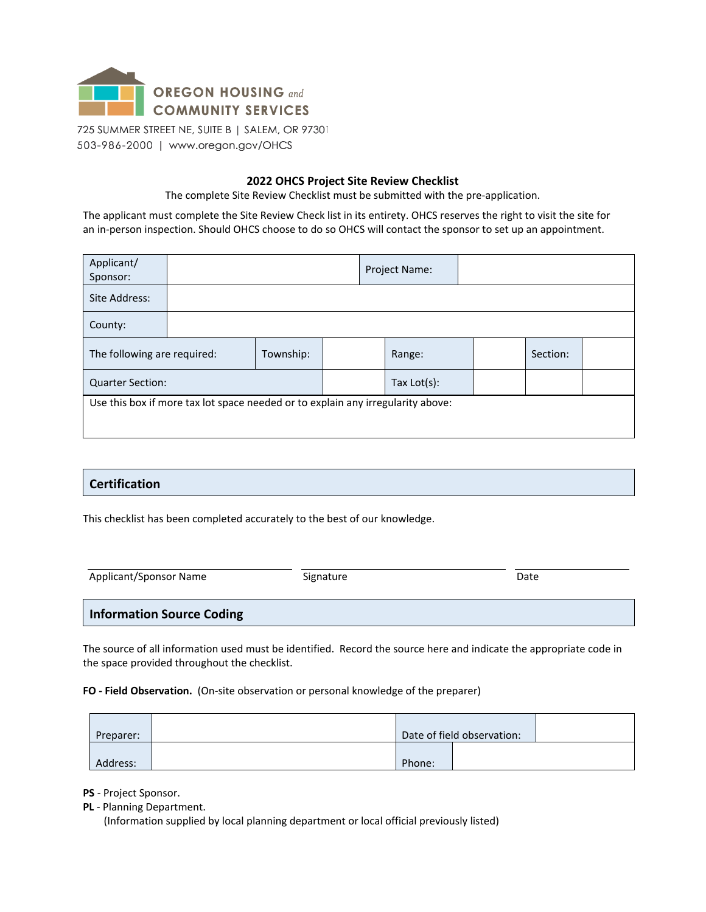

#### **2022 OHCS Project Site Review Checklist**

The complete Site Review Checklist must be submitted with the pre-application.

The applicant must complete the Site Review Check list in its entirety. OHCS reserves the right to visit the site for an in-person inspection. Should OHCS choose to do so OHCS will contact the sponsor to set up an appointment.

| Applicant/<br>Sponsor:                                                          |  |  |        | Project Name:  |          |  |  |  |
|---------------------------------------------------------------------------------|--|--|--------|----------------|----------|--|--|--|
| Site Address:                                                                   |  |  |        |                |          |  |  |  |
| County:                                                                         |  |  |        |                |          |  |  |  |
| The following are required:                                                     |  |  | Range: |                | Section: |  |  |  |
| <b>Quarter Section:</b>                                                         |  |  |        | Tax $Lot(s)$ : |          |  |  |  |
| Use this box if more tax lot space needed or to explain any irregularity above: |  |  |        |                |          |  |  |  |

#### **Certification**

This checklist has been completed accurately to the best of our knowledge.

| Applicant/Sponsor Name           | Signature | Date |
|----------------------------------|-----------|------|
| <b>Information Source Coding</b> |           |      |

The source of all information used must be identified. Record the source here and indicate the appropriate code in the space provided throughout the checklist.

**FO - Field Observation.** (On-site observation or personal knowledge of the preparer)

| Preparer: |        | Date of field observation: |  |
|-----------|--------|----------------------------|--|
| Address:  | Phone: |                            |  |

**PS** - Project Sponsor.

**PL** - Planning Department.

(Information supplied by local planning department or local official previously listed)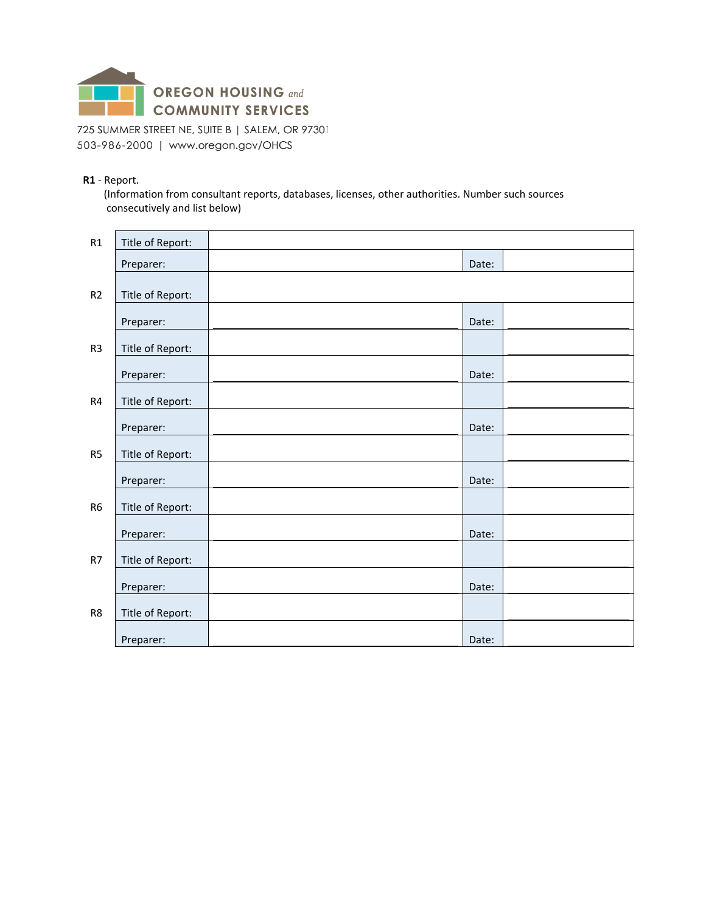

#### **R1** - Report.

(Information from consultant reports, databases, licenses, other authorities. Number such sources consecutively and list below)

| R1             | Title of Report: |       |  |
|----------------|------------------|-------|--|
|                | Preparer:        | Date: |  |
| R2             | Title of Report: |       |  |
|                | Preparer:        | Date: |  |
| R <sub>3</sub> | Title of Report: |       |  |
|                | Preparer:        | Date: |  |
| R4             | Title of Report: |       |  |
|                | Preparer:        | Date: |  |
| R <sub>5</sub> | Title of Report: |       |  |
|                | Preparer:        | Date: |  |
| R <sub>6</sub> | Title of Report: |       |  |
|                | Preparer:        | Date: |  |
| R7             | Title of Report: |       |  |
|                | Preparer:        | Date: |  |
| R8             | Title of Report: |       |  |
|                | Preparer:        | Date: |  |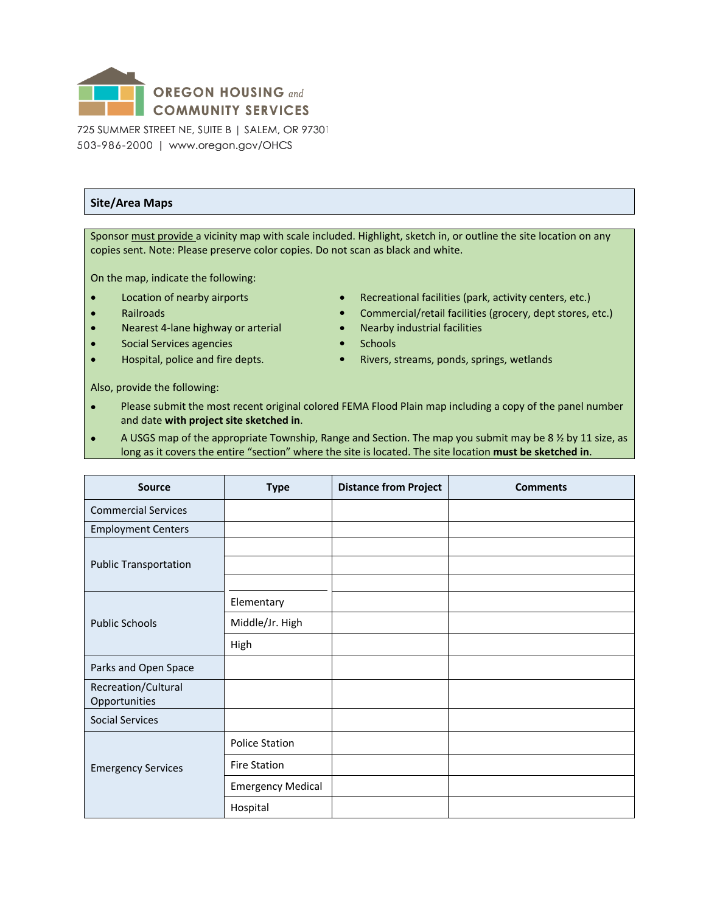

#### **Site/Area Maps**

Sponsor must provide a vicinity map with scale included. Highlight, sketch in, or outline the site location on any copies sent. Note: Please preserve color copies. Do not scan as black and white.

On the map, indicate the following:

- 
- 
- Nearest 4-lane highway or arterial Nearby industrial facilities
- **Social Services agencies Schools**
- 
- Location of nearby airports **•** Recreational facilities (park, activity centers, etc.)
- Railroads Commercial/retail facilities (grocery, dept stores, etc.)
	-
	-
- Hospital, police and fire depts. **•** Rivers, streams, ponds, springs, wetlands

Also, provide the following:

- Please submit the most recent original colored FEMA Flood Plain map including a copy of the panel number and date **with project site sketched in**.
- A USGS map of the appropriate Township, Range and Section. The map you submit may be 8 ½ by 11 size, as long as it covers the entire "section" where the site is located. The site location **must be sketched in**.

| <b>Source</b>                        | <b>Type</b>              | <b>Distance from Project</b> | <b>Comments</b> |
|--------------------------------------|--------------------------|------------------------------|-----------------|
| <b>Commercial Services</b>           |                          |                              |                 |
| <b>Employment Centers</b>            |                          |                              |                 |
| <b>Public Transportation</b>         |                          |                              |                 |
|                                      | Elementary               |                              |                 |
| <b>Public Schools</b>                | Middle/Jr. High          |                              |                 |
|                                      | High                     |                              |                 |
| Parks and Open Space                 |                          |                              |                 |
| Recreation/Cultural<br>Opportunities |                          |                              |                 |
| <b>Social Services</b>               |                          |                              |                 |
|                                      | <b>Police Station</b>    |                              |                 |
| <b>Emergency Services</b>            | <b>Fire Station</b>      |                              |                 |
|                                      | <b>Emergency Medical</b> |                              |                 |
|                                      | Hospital                 |                              |                 |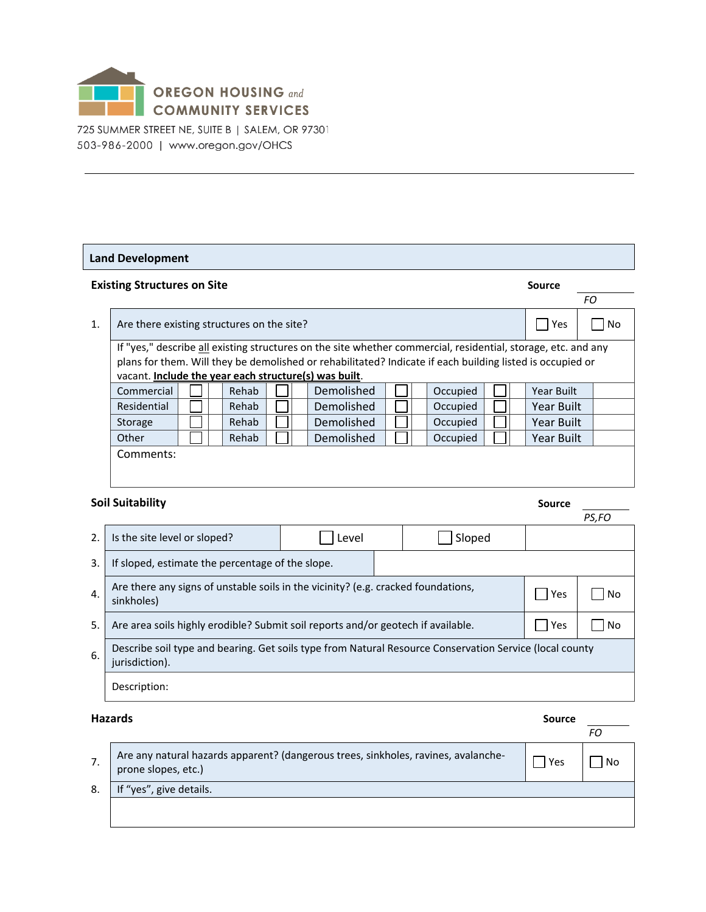

#### **Land Development**

|                | <b>Existing Structures on Site</b>                    |  |  |       |  |  |                                                                                                                                                                                                                            |  | Source   |  |            |     |
|----------------|-------------------------------------------------------|--|--|-------|--|--|----------------------------------------------------------------------------------------------------------------------------------------------------------------------------------------------------------------------------|--|----------|--|------------|-----|
|                |                                                       |  |  |       |  |  |                                                                                                                                                                                                                            |  |          |  |            | FO. |
| $\mathbf{1}$ . | Are there existing structures on the site?            |  |  |       |  |  |                                                                                                                                                                                                                            |  |          |  | Yes        | No  |
|                | vacant. Include the year each structure(s) was built. |  |  |       |  |  | If "yes," describe all existing structures on the site whether commercial, residential, storage, etc. and any<br>plans for them. Will they be demolished or rehabilitated? Indicate if each building listed is occupied or |  |          |  |            |     |
|                | Commercial                                            |  |  | Rehab |  |  | Demolished                                                                                                                                                                                                                 |  | Occupied |  | Year Built |     |
|                | Residential                                           |  |  | Rehab |  |  | Demolished                                                                                                                                                                                                                 |  | Occupied |  | Year Built |     |
|                | Storage                                               |  |  | Rehab |  |  | Demolished                                                                                                                                                                                                                 |  | Occupied |  | Year Built |     |
|                | Other                                                 |  |  | Rehab |  |  | Demolished                                                                                                                                                                                                                 |  | Occupied |  | Year Built |     |
|                | Comments:                                             |  |  |       |  |  |                                                                                                                                                                                                                            |  |          |  |            |     |

### **Soil Suitability Solution in the Source of Source Solution in the Source of Source**

| urce |  |
|------|--|
|      |  |

|                  |                                                                                                                           |       |     |        |  | PS,FO |  |
|------------------|---------------------------------------------------------------------------------------------------------------------------|-------|-----|--------|--|-------|--|
| 2.               | Is the site level or sloped?                                                                                              | Level |     | Sloped |  |       |  |
| 3.               | If sloped, estimate the percentage of the slope.                                                                          |       |     |        |  |       |  |
| $\overline{4}$ . | Are there any signs of unstable soils in the vicinity? (e.g. cracked foundations,<br>sinkholes)                           | Yes   | No. |        |  |       |  |
| 5.               | Are area soils highly erodible? Submit soil reports and/or geotech if available.                                          |       |     |        |  | No.   |  |
| 6.               | Describe soil type and bearing. Get soils type from Natural Resource Conservation Service (local county<br>jurisdiction). |       |     |        |  |       |  |
|                  | Description:                                                                                                              |       |     |        |  |       |  |

#### **Hazards Source**

|    | Are any natural hazards apparent? (dangerous trees, sinkholes, ravines, avalanche-<br>prone slopes, etc.) | Yes | No |
|----|-----------------------------------------------------------------------------------------------------------|-----|----|
| 8. | If "yes", give details.                                                                                   |     |    |
|    |                                                                                                           |     |    |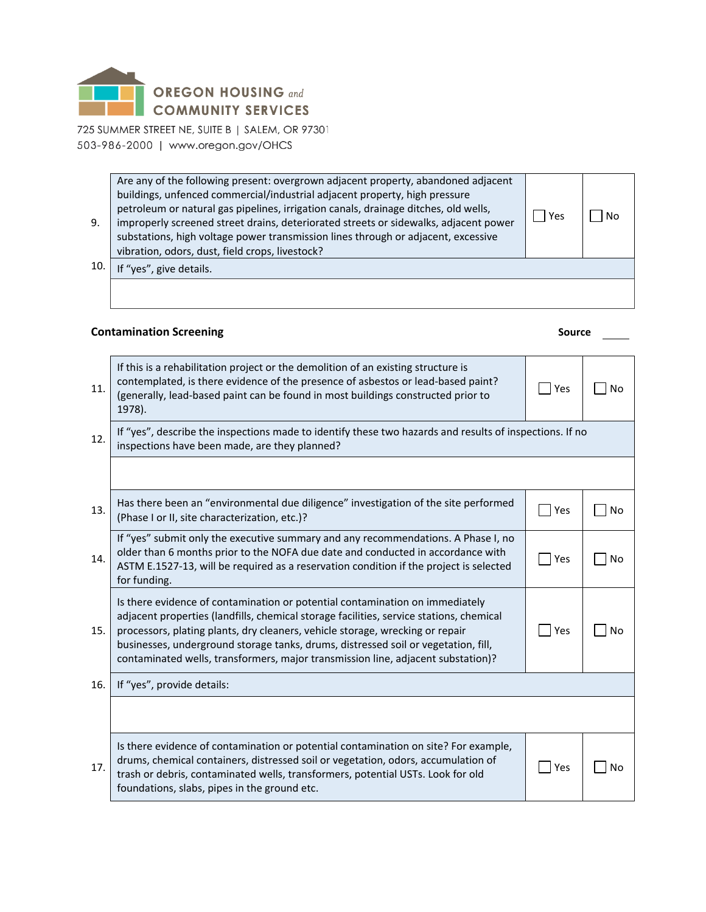

| 9.  | Are any of the following present: overgrown adjacent property, abandoned adjacent<br>buildings, unfenced commercial/industrial adjacent property, high pressure<br>petroleum or natural gas pipelines, irrigation canals, drainage ditches, old wells,<br>improperly screened street drains, deteriorated streets or sidewalks, adjacent power<br>substations, high voltage power transmission lines through or adjacent, excessive<br>vibration, odors, dust, field crops, livestock? | Yes |  |
|-----|----------------------------------------------------------------------------------------------------------------------------------------------------------------------------------------------------------------------------------------------------------------------------------------------------------------------------------------------------------------------------------------------------------------------------------------------------------------------------------------|-----|--|
| 10. | If "yes", give details.                                                                                                                                                                                                                                                                                                                                                                                                                                                                |     |  |
|     |                                                                                                                                                                                                                                                                                                                                                                                                                                                                                        |     |  |

# **Contamination Screening Source Source Source Source Source Source Source Source Source Source Source Source Source Source Source Source Source Source Source Source Source Source**

| 11. | If this is a rehabilitation project or the demolition of an existing structure is<br>contemplated, is there evidence of the presence of asbestos or lead-based paint?<br>(generally, lead-based paint can be found in most buildings constructed prior to<br>1978).                                                                                                                                                                | Yes           | No        |
|-----|------------------------------------------------------------------------------------------------------------------------------------------------------------------------------------------------------------------------------------------------------------------------------------------------------------------------------------------------------------------------------------------------------------------------------------|---------------|-----------|
| 12. | If "yes", describe the inspections made to identify these two hazards and results of inspections. If no<br>inspections have been made, are they planned?                                                                                                                                                                                                                                                                           |               |           |
|     |                                                                                                                                                                                                                                                                                                                                                                                                                                    |               |           |
| 13. | Has there been an "environmental due diligence" investigation of the site performed<br>(Phase I or II, site characterization, etc.)?                                                                                                                                                                                                                                                                                               | Yes           | <b>No</b> |
| 14. | If "yes" submit only the executive summary and any recommendations. A Phase I, no<br>older than 6 months prior to the NOFA due date and conducted in accordance with<br>ASTM E.1527-13, will be required as a reservation condition if the project is selected<br>for funding.                                                                                                                                                     | $\exists$ Yes | <b>No</b> |
| 15. | Is there evidence of contamination or potential contamination on immediately<br>adjacent properties (landfills, chemical storage facilities, service stations, chemical<br>processors, plating plants, dry cleaners, vehicle storage, wrecking or repair<br>businesses, underground storage tanks, drums, distressed soil or vegetation, fill,<br>contaminated wells, transformers, major transmission line, adjacent substation)? | Yes           | <b>No</b> |
| 16. | If "yes", provide details:                                                                                                                                                                                                                                                                                                                                                                                                         |               |           |
|     |                                                                                                                                                                                                                                                                                                                                                                                                                                    |               |           |
| 17. | Is there evidence of contamination or potential contamination on site? For example,<br>drums, chemical containers, distressed soil or vegetation, odors, accumulation of<br>trash or debris, contaminated wells, transformers, potential USTs. Look for old<br>foundations, slabs, pipes in the ground etc.                                                                                                                        | Yes           | No        |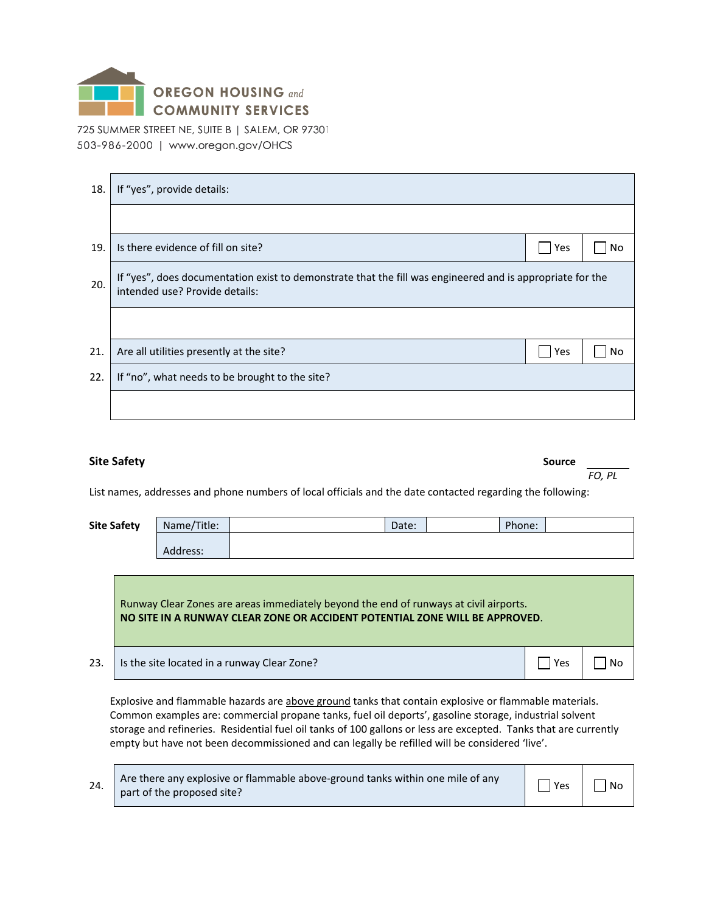

| 18. | If "yes", provide details:                                                                                                                  |     |    |
|-----|---------------------------------------------------------------------------------------------------------------------------------------------|-----|----|
|     |                                                                                                                                             |     |    |
| 19. | Is there evidence of fill on site?                                                                                                          | Yes | No |
| 20. | If "yes", does documentation exist to demonstrate that the fill was engineered and is appropriate for the<br>intended use? Provide details: |     |    |
|     |                                                                                                                                             |     |    |
| 21. | Are all utilities presently at the site?                                                                                                    | Yes | No |
| 22. | If "no", what needs to be brought to the site?                                                                                              |     |    |
|     |                                                                                                                                             |     |    |

#### **Site Safety Source**

List names, addresses and phone numbers of local officials and the date contacted regarding the following:

| <b>Site Safety</b> | Name/Title: | Date: | Phone: |  |
|--------------------|-------------|-------|--------|--|
|                    | Address:    |       |        |  |

Runway Clear Zones are areas immediately beyond the end of runways at civil airports. **NO SITE IN A RUNWAY CLEAR ZONE OR ACCIDENT POTENTIAL ZONE WILL BE APPROVED**.

23. Its the site located in a runway Clear Zone?

Explosive and flammable hazards are above ground tanks that contain explosive or flammable materials. Common examples are: commercial propane tanks, fuel oil deports', gasoline storage, industrial solvent storage and refineries. Residential fuel oil tanks of 100 gallons or less are excepted. Tanks that are currently empty but have not been decommissioned and can legally be refilled will be considered 'live'.

|  | Are there any explosive or flammable above-ground tanks within one mile of any<br>part of the proposed site? | $\Box$ $\Box$ Yes $\Box$ | No |
|--|--------------------------------------------------------------------------------------------------------------|--------------------------|----|
|--|--------------------------------------------------------------------------------------------------------------|--------------------------|----|

*FO, PL*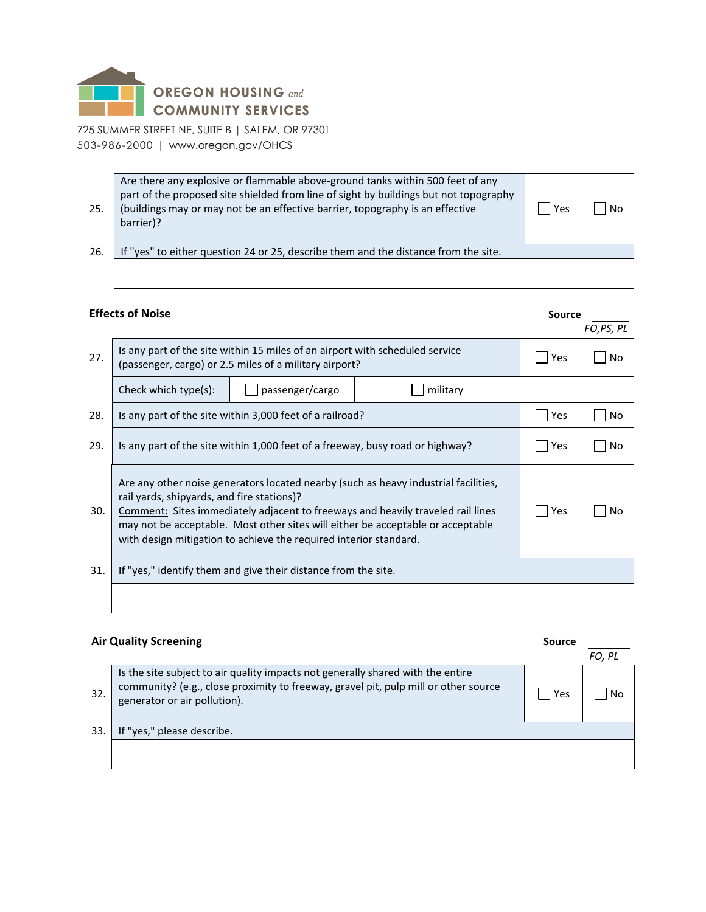

| 25. | Are there any explosive or flammable above-ground tanks within 500 feet of any<br>part of the proposed site shielded from line of sight by buildings but not topography<br>(buildings may or may not be an effective barrier, topography is an effective<br>barrier)? | Yes | No |
|-----|-----------------------------------------------------------------------------------------------------------------------------------------------------------------------------------------------------------------------------------------------------------------------|-----|----|
| 26. | If "yes" to either question 24 or 25, describe them and the distance from the site.                                                                                                                                                                                   |     |    |
|     |                                                                                                                                                                                                                                                                       |     |    |

# **Effects of Noise Source Source Source Source Source Source Source Source**  $27.$  Is any part of the site within 15 miles of an airport with scheduled service (passenger, cargo) or 2.5 miles of a military airport? Check which type(s):  $\Box$  passenger/cargo  $\Box$  military 28. Is any part of the site within 3,000 feet of a railroad? 29. Is any part of the site within 1,000 feet of a freeway, busy road or highway?  $\Box$  Yes  $\Box$  No Are any other noise generators located nearby (such as heavy industrial facilities,

| 30.  | rail yards, shipyards, and fire stations)?<br>Comment: Sites immediately adjacent to freeways and heavily traveled rail lines<br>may not be acceptable. Most other sites will either be acceptable or acceptable<br>with design mitigation to achieve the required interior standard. | <sup>1</sup> Yes | <b>No</b> |
|------|---------------------------------------------------------------------------------------------------------------------------------------------------------------------------------------------------------------------------------------------------------------------------------------|------------------|-----------|
| 31.1 | If "yes," identify them and give their distance from the site.                                                                                                                                                                                                                        |                  |           |

# **Air Quality Screening Source** *FO, PL* 32. Is the site subject to air quality impacts not generally shared with the entire community? (e.g., close proximity to freeway, gravel pit, pulp mill or other source  $\begin{array}{c} \text{continuous, (e.g., close probability to necessary, greater than 10000}) \\ \text{generator or air pollution}. \end{array}$ 33. If "yes," please describe.

*FO,PS, PL*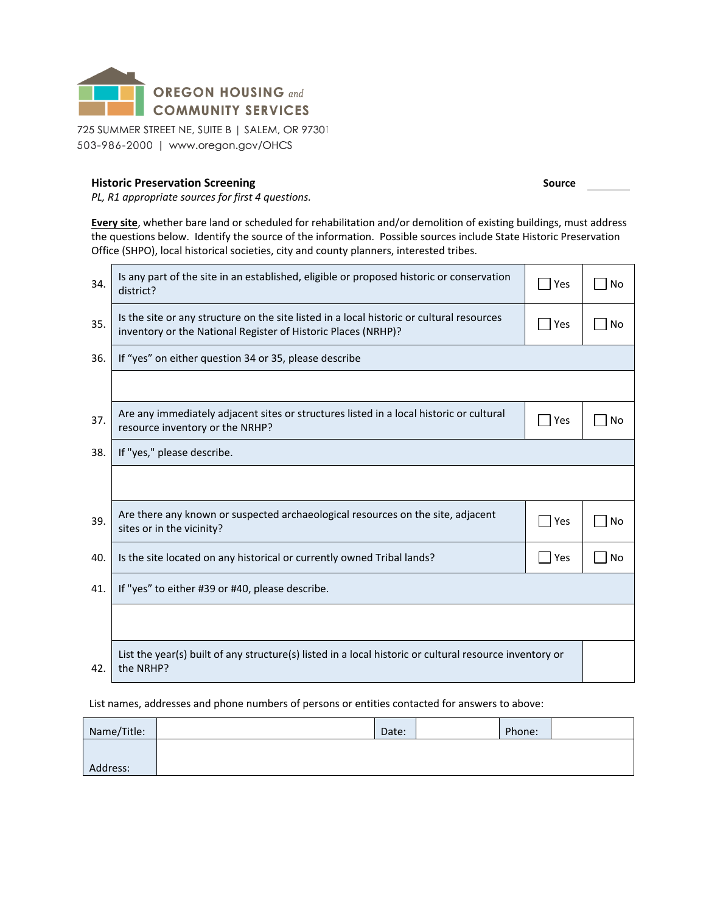

#### **Historic Preservation Screening**

*PL, R1 appropriate sources for first 4 questions.*

**Every site**, whether bare land or scheduled for rehabilitation and/or demolition of existing buildings, must address the questions below. Identify the source of the information. Possible sources include State Historic Preservation Office (SHPO), local historical societies, city and county planners, interested tribes.

| 34. | Is any part of the site in an established, eligible or proposed historic or conservation<br>district?                                                      | Yes | <b>No</b> |
|-----|------------------------------------------------------------------------------------------------------------------------------------------------------------|-----|-----------|
| 35. | Is the site or any structure on the site listed in a local historic or cultural resources<br>inventory or the National Register of Historic Places (NRHP)? | Yes | <b>No</b> |
| 36. | If "yes" on either question 34 or 35, please describe                                                                                                      |     |           |
|     |                                                                                                                                                            |     |           |
| 37. | Are any immediately adjacent sites or structures listed in a local historic or cultural<br>resource inventory or the NRHP?                                 | Yes | No        |
| 38. | If "yes," please describe.                                                                                                                                 |     |           |
|     |                                                                                                                                                            |     |           |
| 39. | Are there any known or suspected archaeological resources on the site, adjacent<br>sites or in the vicinity?                                               | Yes | <b>No</b> |
| 40. | Is the site located on any historical or currently owned Tribal lands?                                                                                     | Yes | <b>No</b> |
| 41. | If "yes" to either #39 or #40, please describe.                                                                                                            |     |           |
|     |                                                                                                                                                            |     |           |
| 42. | List the year(s) built of any structure(s) listed in a local historic or cultural resource inventory or<br>the NRHP?                                       |     |           |

List names, addresses and phone numbers of persons or entities contacted for answers to above:

| Name/Title: | Date: | Phone: |  |
|-------------|-------|--------|--|
|             |       |        |  |
| Address:    |       |        |  |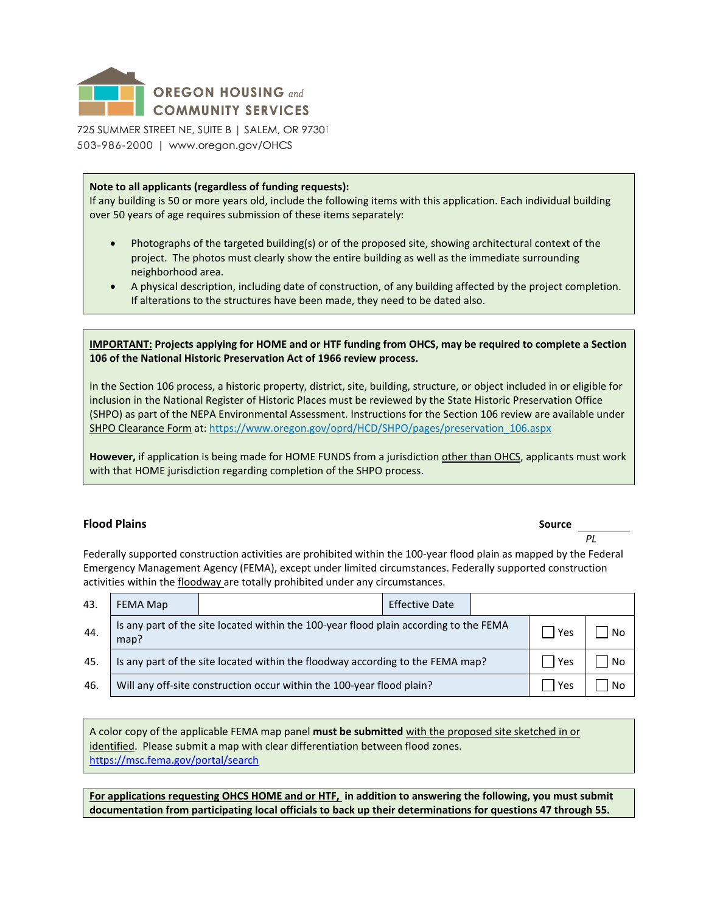

#### **Note to all applicants (regardless of funding requests):**

If any building is 50 or more years old, include the following items with this application. Each individual building over 50 years of age requires submission of these items separately:

- Photographs of the targeted building(s) or of the proposed site, showing architectural context of the project. The photos must clearly show the entire building as well as the immediate surrounding neighborhood area.
- A physical description, including date of construction, of any building affected by the project completion. If alterations to the structures have been made, they need to be dated also.

**IMPORTANT: Projects applying for HOME and or HTF funding from OHCS, may be required to complete a Section 106 of the National Historic Preservation Act of 1966 review process.**

In the Section 106 process, a historic property, district, site, building, structure, or object included in or eligible for inclusion in the National Register of Historic Places must be reviewed by the State Historic Preservation Office (SHPO) as part of the NEPA Environmental Assessment. Instructions for the Section 106 review are available under SHPO Clearance Form at: https://www.oregon.gov/oprd/HCD/SHPO/pages/preservation\_106.aspx

**However,** if application is being made for HOME FUNDS from a jurisdiction other than OHCS, applicants must work with that HOME jurisdiction regarding completion of the SHPO process.

#### **Flood Plains Source**

 *PL*

Federally supported construction activities are prohibited within the 100-year flood plain as mapped by the Federal Emergency Management Agency (FEMA), except under limited circumstances. Federally supported construction activities within the floodway are totally prohibited under any circumstances.

| 43. | FEMA Map |                                                                                       | <b>Effective Date</b> |       |    |
|-----|----------|---------------------------------------------------------------------------------------|-----------------------|-------|----|
| 44. | map?     | Is any part of the site located within the 100-year flood plain according to the FEMA |                       | Yes   | No |
| 45. |          | Is any part of the site located within the floodway according to the FEMA map?        |                       | l Yes | No |
| 46. |          | Will any off-site construction occur within the 100-year flood plain?                 |                       | Yes   | No |

A color copy of the applicable FEMA map panel **must be submitted** with the proposed site sketched in or identified. Please submit a map with clear differentiation between flood zones. <https://msc.fema.gov/portal/search>

**For applications requesting OHCS HOME and or HTF, in addition to answering the following, you must submit documentation from participating local officials to back up their determinations for questions 47 through 55.**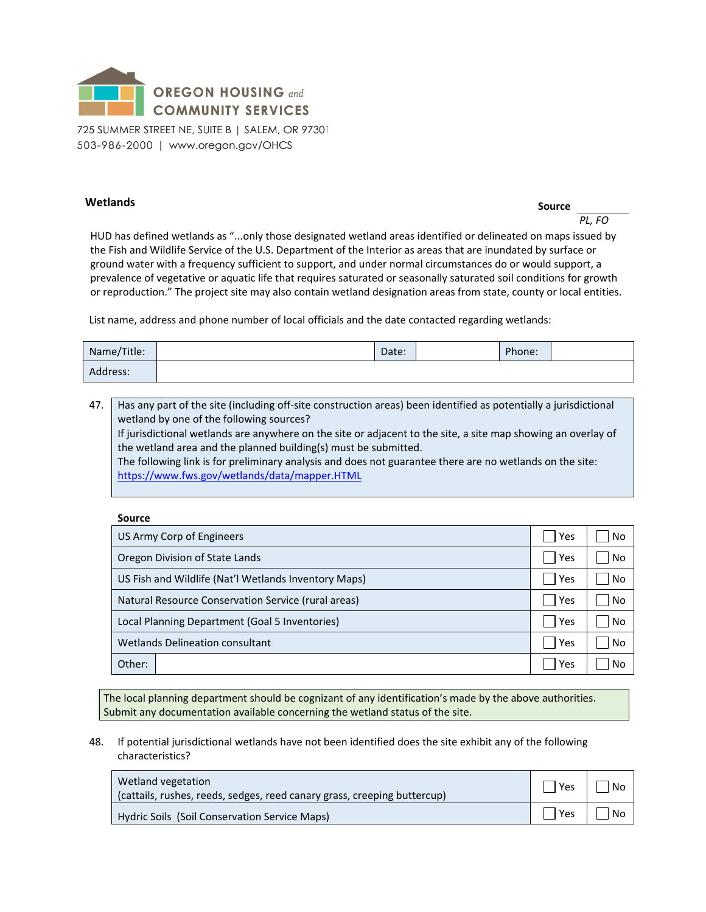

## **Wetlands** Source

*PL, FO*

HUD has defined wetlands as "...only those designated wetland areas identified or delineated on maps issued by the Fish and Wildlife Service of the U.S. Department of the Interior as areas that are inundated by surface or ground water with a frequency sufficient to support, and under normal circumstances do or would support, a prevalence of vegetative or aquatic life that requires saturated or seasonally saturated soil conditions for growth or reproduction." The project site may also contain wetland designation areas from state, county or local entities.

List name, address and phone number of local officials and the date contacted regarding wetlands:

| Name/Title: | Date: | Phone: |  |
|-------------|-------|--------|--|
| Address:    |       |        |  |

47. Has any part of the site (including off-site construction areas) been identified as potentially a jurisdictional wetland by one of the following sources? If jurisdictional wetlands are anywhere on the site or adjacent to the site, a site map showing an overlay of the wetland area and the planned building(s) must be submitted. The following link is for preliminary analysis and does not guarantee there are no wetlands on the site: <https://www.fws.gov/wetlands/data/mapper.HTML>

#### **Source**

| US Army Corp of Engineers                            |     | No |
|------------------------------------------------------|-----|----|
| Oregon Division of State Lands                       | Yes | No |
| US Fish and Wildlife (Nat'l Wetlands Inventory Maps) | Yes | No |
| Natural Resource Conservation Service (rural areas)  |     | No |
| Local Planning Department (Goal 5 Inventories)       |     | No |
| <b>Wetlands Delineation consultant</b>               |     | No |
| Other:                                               | Yes | No |

The local planning department should be cognizant of any identification's made by the above authorities. Submit any documentation available concerning the wetland status of the site.

#### 48. If potential jurisdictional wetlands have not been identified does the site exhibit any of the following characteristics?

| Wetland vegetation<br>(cattails, rushes, reeds, sedges, reed canary grass, creeping buttercup) | Yes   No |            |
|------------------------------------------------------------------------------------------------|----------|------------|
| Hydric Soils (Soil Conservation Service Maps)                                                  |          | Yes     No |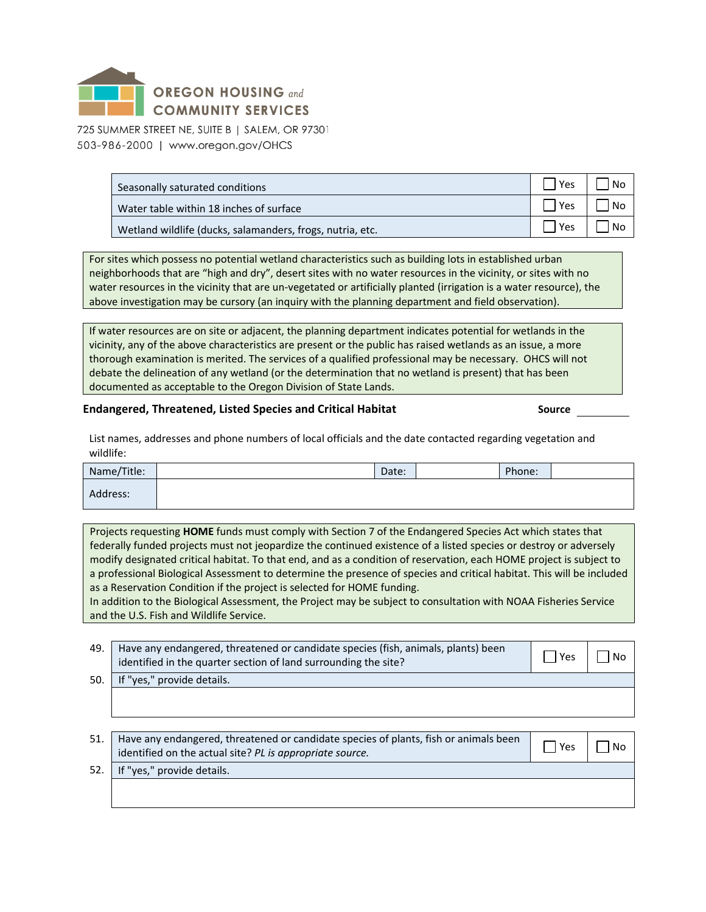

| Seasonally saturated conditions                           |     | N.   |
|-----------------------------------------------------------|-----|------|
| Water table within 18 inches of surface                   | Υρς | l No |
| Wetland wildlife (ducks, salamanders, frogs, nutria, etc. |     | N.   |

For sites which possess no potential wetland characteristics such as building lots in established urban neighborhoods that are "high and dry", desert sites with no water resources in the vicinity, or sites with no water resources in the vicinity that are un-vegetated or artificially planted (irrigation is a water resource), the above investigation may be cursory (an inquiry with the planning department and field observation).

If water resources are on site or adjacent, the planning department indicates potential for wetlands in the vicinity, any of the above characteristics are present or the public has raised wetlands as an issue, a more thorough examination is merited. The services of a qualified professional may be necessary. OHCS will not debate the delineation of any wetland (or the determination that no wetland is present) that has been documented as acceptable to the Oregon Division of State Lands.

#### **Endangered, Threatened, Listed Species and Critical Habitat Source**

List names, addresses and phone numbers of local officials and the date contacted regarding vegetation and wildlife:

| Name/Title: | Date: | Phone: |  |
|-------------|-------|--------|--|
| Address:    |       |        |  |

Projects requesting **HOME** funds must comply with Section 7 of the Endangered Species Act which states that federally funded projects must not jeopardize the continued existence of a listed species or destroy or adversely modify designated critical habitat. To that end, and as a condition of reservation, each HOME project is subject to a professional Biological Assessment to determine the presence of species and critical habitat. This will be included as a Reservation Condition if the project is selected for HOME funding.

In addition to the Biological Assessment, the Project may be subject to consultation with NOAA Fisheries Service and the U.S. Fish and Wildlife Service.

| 49. Have any endangered, threatened or candidate species (fish, animals, plants) been<br>identified in the quarter section of land surrounding the site? | Yes | l No |
|----------------------------------------------------------------------------------------------------------------------------------------------------------|-----|------|
| 50. If "yes," provide details.                                                                                                                           |     |      |

| 51. Have any endangered, threatened or candidate species of plants, fish or animals been $\Box$ Yes $\Box$ No |  |
|---------------------------------------------------------------------------------------------------------------|--|
| identified on the actual site? PL is appropriate source.                                                      |  |

52. If "yes," provide details.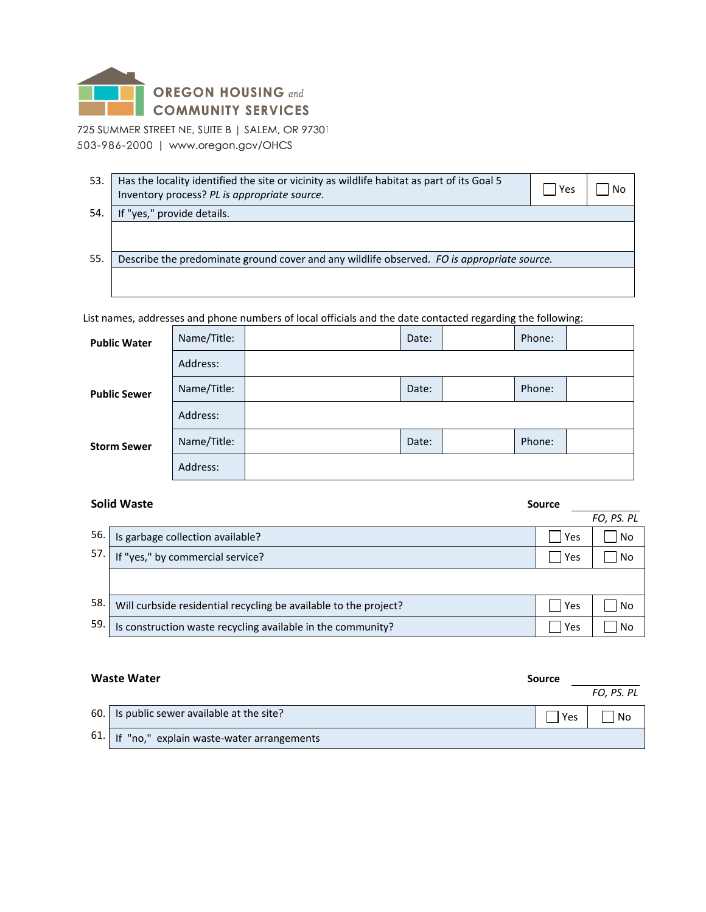

| 53. | Has the locality identified the site or vicinity as wildlife habitat as part of its Goal 5<br>Inventory process? PL is appropriate source. | Yes | No |
|-----|--------------------------------------------------------------------------------------------------------------------------------------------|-----|----|
| 54  | "yes," provide details.                                                                                                                    |     |    |
|     |                                                                                                                                            |     |    |
| 55. | Describe the predominate ground cover and any wildlife observed. FO is appropriate source.                                                 |     |    |
|     |                                                                                                                                            |     |    |

List names, addresses and phone numbers of local officials and the date contacted regarding the following:

| <b>Public Water</b> | Name/Title: | Date: | Phone: |  |
|---------------------|-------------|-------|--------|--|
|                     | Address:    |       |        |  |
| <b>Public Sewer</b> | Name/Title: | Date: | Phone: |  |
|                     | Address:    |       |        |  |
| <b>Storm Sewer</b>  | Name/Title: | Date: | Phone: |  |
|                     | Address:    |       |        |  |

#### **Solid Waste Source**

|     |                                                                  |     | FO, PS. PL |
|-----|------------------------------------------------------------------|-----|------------|
| 56. | Is garbage collection available?                                 | Yes | No         |
| 57. | If "yes," by commercial service?                                 | Yes | No         |
|     |                                                                  |     |            |
| 58. | Will curbside residential recycling be available to the project? | Yes | No         |
| 59. | Is construction waste recycling available in the community?      | Yes | No         |

| <b>Waste Water</b> |                                               | Source |            |
|--------------------|-----------------------------------------------|--------|------------|
|                    |                                               |        | FO. PS. PL |
|                    | 60. Is public sewer available at the site?    | Yes    | No         |
|                    | 61. If "no," explain waste-water arrangements |        |            |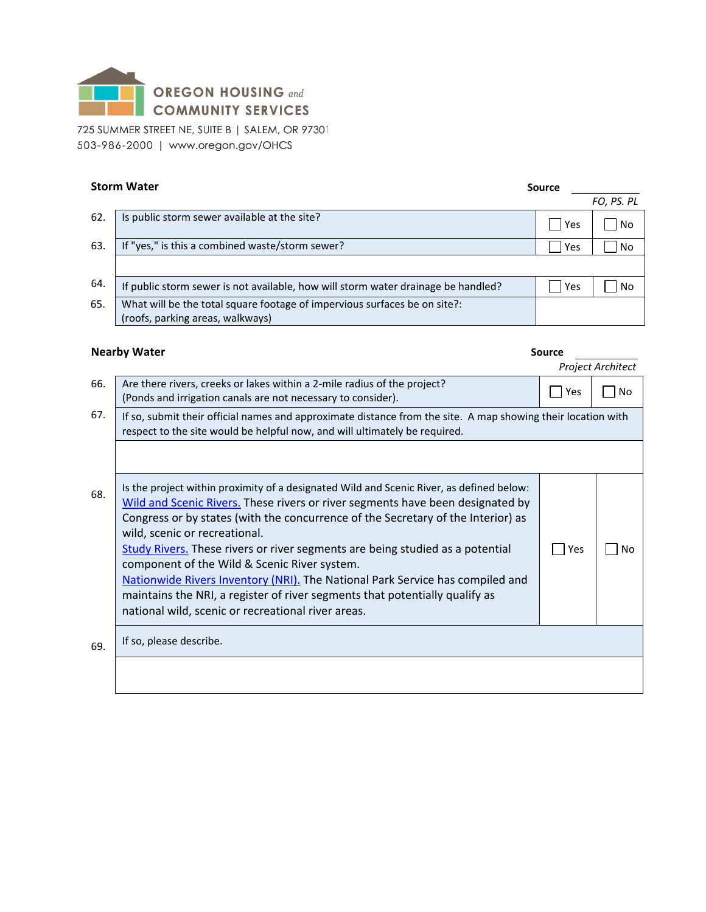

| <b>Storm Water</b> |                                                                                   | Source     |            |  |
|--------------------|-----------------------------------------------------------------------------------|------------|------------|--|
|                    |                                                                                   |            | FO, PS. PL |  |
| 62.                | Is public storm sewer available at the site?                                      | <b>Yes</b> | No         |  |
| 63.                | If "yes," is this a combined waste/storm sewer?                                   | Yes        | No         |  |
|                    |                                                                                   |            |            |  |
| 64.                | If public storm sewer is not available, how will storm water drainage be handled? | Yes        | No         |  |
| 65.                | What will be the total square footage of impervious surfaces be on site?:         |            |            |  |
|                    | (roofs, parking areas, walkways)                                                  |            |            |  |

# **Nearby Water Source Source Source Source Source Source Source Source Source Source Source Source Source Source I**

|     |                                                                                                                                                                                                                                                                                                                                                                                                                                                                                                                                                                                                                                                        |       | Project Architect |
|-----|--------------------------------------------------------------------------------------------------------------------------------------------------------------------------------------------------------------------------------------------------------------------------------------------------------------------------------------------------------------------------------------------------------------------------------------------------------------------------------------------------------------------------------------------------------------------------------------------------------------------------------------------------------|-------|-------------------|
| 66. | Are there rivers, creeks or lakes within a 2-mile radius of the project?<br>(Ponds and irrigation canals are not necessary to consider).                                                                                                                                                                                                                                                                                                                                                                                                                                                                                                               | l Yes | No                |
| 67. | If so, submit their official names and approximate distance from the site. A map showing their location with<br>respect to the site would be helpful now, and will ultimately be required.                                                                                                                                                                                                                                                                                                                                                                                                                                                             |       |                   |
|     |                                                                                                                                                                                                                                                                                                                                                                                                                                                                                                                                                                                                                                                        |       |                   |
| 68. | Is the project within proximity of a designated Wild and Scenic River, as defined below:<br>Wild and Scenic Rivers. These rivers or river segments have been designated by<br>Congress or by states (with the concurrence of the Secretary of the Interior) as<br>wild, scenic or recreational.<br>Study Rivers. These rivers or river segments are being studied as a potential<br>component of the Wild & Scenic River system.<br>Nationwide Rivers Inventory (NRI). The National Park Service has compiled and<br>maintains the NRI, a register of river segments that potentially qualify as<br>national wild, scenic or recreational river areas. | Yes   | N٥                |
| 69. | If so, please describe.                                                                                                                                                                                                                                                                                                                                                                                                                                                                                                                                                                                                                                |       |                   |
|     |                                                                                                                                                                                                                                                                                                                                                                                                                                                                                                                                                                                                                                                        |       |                   |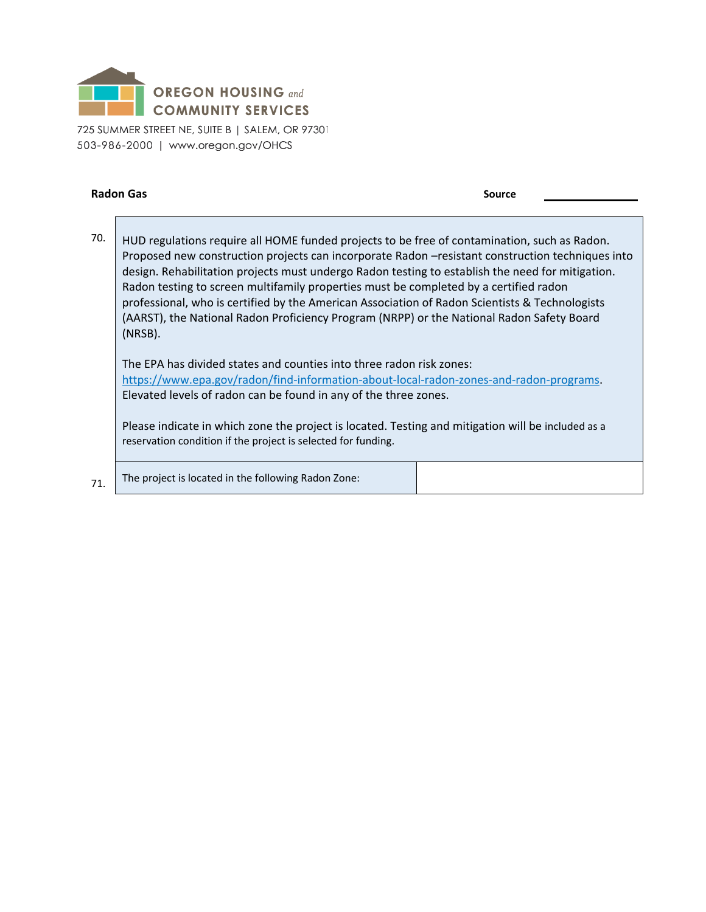

#### **Radon Gas Source Source Source Source Source Source Source Source Source**

70. HUD regulations require all HOME funded projects to be free of contamination, such as Radon. Proposed new construction projects can incorporate Radon –resistant construction techniques into design. Rehabilitation projects must undergo Radon testing to establish the need for mitigation. Radon testing to screen multifamily properties must be completed by a certified radon professional, who is certified by the American Association of Radon Scientists & Technologists (AARST), the National Radon Proficiency Program (NRPP) or the National Radon Safety Board (NRSB).

The EPA has divided states and counties into three radon risk zones: [https://www.epa.gov/radon/find-information-about-local-radon-zones-and-radon-programs.](https://www.epa.gov/radon/find-information-about-local-radon-zones-and-radon-programs) Elevated levels of radon can be found in any of the three zones.

Please indicate in which zone the project is located. Testing and mitigation will be included as a reservation condition if the project is selected for funding.

 $71.$  The project is located in the following Radon Zone: